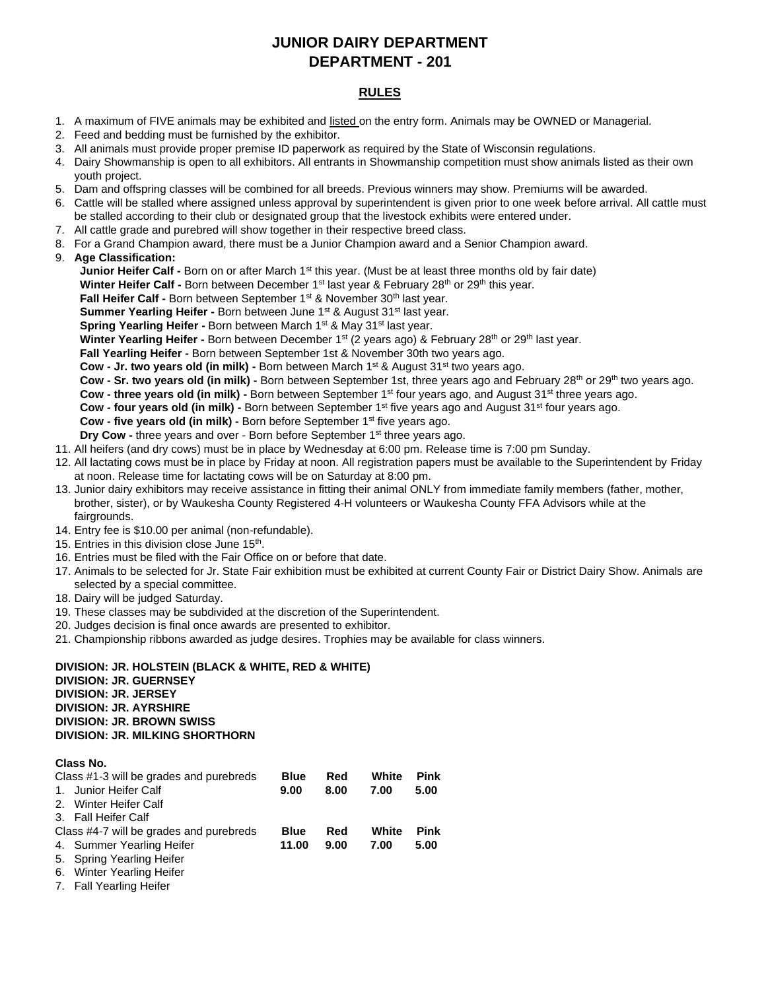# **JUNIOR DAIRY DEPARTMENT DEPARTMENT - 201**

# **RULES**

- 1. A maximum of FIVE animals may be exhibited and listed on the entry form. Animals may be OWNED or Managerial.
- 2. Feed and bedding must be furnished by the exhibitor.
- 3. All animals must provide proper premise ID paperwork as required by the State of Wisconsin regulations.
- 4. Dairy Showmanship is open to all exhibitors. All entrants in Showmanship competition must show animals listed as their own youth project.
- 5. Dam and offspring classes will be combined for all breeds. Previous winners may show. Premiums will be awarded.
- 6. Cattle will be stalled where assigned unless approval by superintendent is given prior to one week before arrival. All cattle must be stalled according to their club or designated group that the livestock exhibits were entered under.
- 7. All cattle grade and purebred will show together in their respective breed class.
- 8. For a Grand Champion award, there must be a Junior Champion award and a Senior Champion award.
- 9. **Age Classification:**

**Junior Heifer Calf -** Born on or after March 1<sup>st</sup> this year. (Must be at least three months old by fair date)

**Winter Heifer Calf -** Born between December 1<sup>st</sup> last year & February 28<sup>th</sup> or 29<sup>th</sup> this year.

Fall Heifer Calf - Born between September 1<sup>st</sup> & November 30<sup>th</sup> last year.

**Summer Yearling Heifer - Born between June 1st & August 31st last year.** 

**Spring Yearling Heifer - Born between March 1st & May 31st last year.** 

Winter Yearling Heifer - Born between December 1<sup>st</sup> (2 years ago) & February 28<sup>th</sup> or 29<sup>th</sup> last year.

**Fall Yearling Heifer -** Born between September 1st & November 30th two years ago.

**Cow - Jr. two years old (in milk) -** Born between March 1<sup>st</sup> & August 31<sup>st</sup> two years ago.

**Cow - Sr. two years old (in milk) -** Born between September 1st, three years ago and February 28<sup>th</sup> or 29<sup>th</sup> two years ago.

Cow - three years old (in milk) - Born between September 1<sup>st</sup> four years ago, and August 31<sup>st</sup> three years ago.

**Cow - four years old (in milk) -** Born between September 1<sup>st</sup> five years ago and August 31<sup>st</sup> four years ago.

**Cow - five years old (in milk) -** Born before September 1<sup>st</sup> five years ago.

**Dry Cow -** three years and over - Born before September 1<sup>st</sup> three years ago.

11. All heifers (and dry cows) must be in place by Wednesday at 6:00 pm. Release time is 7:00 pm Sunday.

- 12. All lactating cows must be in place by Friday at noon. All registration papers must be available to the Superintendent by Friday at noon. Release time for lactating cows will be on Saturday at 8:00 pm.
- 13. Junior dairy exhibitors may receive assistance in fitting their animal ONLY from immediate family members (father, mother, brother, sister), or by Waukesha County Registered 4-H volunteers or Waukesha County FFA Advisors while at the fairgrounds.
- 14. Entry fee is \$10.00 per animal (non-refundable).
- 15. Entries in this division close June 15<sup>th</sup>.
- 16. Entries must be filed with the Fair Office on or before that date.
- 17. Animals to be selected for Jr. State Fair exhibition must be exhibited at current County Fair or District Dairy Show. Animals are selected by a special committee.
- 18. Dairy will be judged Saturday.
- 19. These classes may be subdivided at the discretion of the Superintendent.
- 20. Judges decision is final once awards are presented to exhibitor.
- 21. Championship ribbons awarded as judge desires. Trophies may be available for class winners.

# **DIVISION: JR. HOLSTEIN (BLACK & WHITE, RED & WHITE) DIVISION: JR. GUERNSEY DIVISION: JR. JERSEY DIVISION: JR. AYRSHIRE DIVISION: JR. BROWN SWISS DIVISION: JR. MILKING SHORTHORN**

# **Class No.**

| Class #1-3 will be grades and purebreds |                           | <b>Blue</b> | Red  | White | Pink |
|-----------------------------------------|---------------------------|-------------|------|-------|------|
|                                         | 1. Junior Heifer Calf     | 9.00        | 8.00 | 7.00  | 5.00 |
|                                         | 2. Winter Heifer Calf     |             |      |       |      |
|                                         | 3. Fall Heifer Calf       |             |      |       |      |
| Class #4-7 will be grades and purebreds |                           | <b>Blue</b> | Red  | White | Pink |
|                                         | 4. Summer Yearling Heifer | 11.00       | 9.00 | 7.00  | 5.00 |
|                                         | 5. Spring Yearling Heifer |             |      |       |      |
|                                         | C. Minter Voorling Holfer |             |      |       |      |

- 6. Winter Yearling Heifer
- 7. Fall Yearling Heifer